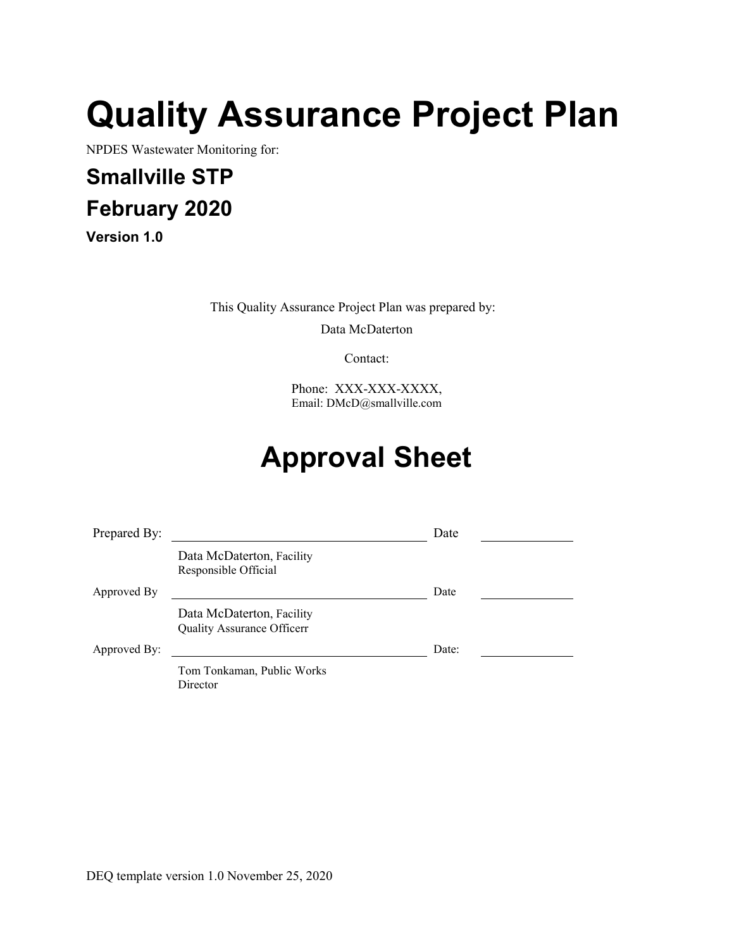# **Quality Assurance Project Plan**

NPDES Wastewater Monitoring for:

# **Smallville STP February 2020**

**Version 1.0**

This Quality Assurance Project Plan was prepared by:

Data McDaterton

Contact:

Phone: XXX-XXX-XXXX, Email: DMcD@smallville.com

# **Approval Sheet**

| Prepared By: |                                                         | Date  |  |
|--------------|---------------------------------------------------------|-------|--|
|              | Data McDaterton, Facility<br>Responsible Official       |       |  |
| Approved By  |                                                         | Date  |  |
|              | Data McDaterton, Facility<br>Quality Assurance Officerr |       |  |
| Approved By: |                                                         | Date: |  |
|              | Tom Tonkaman, Public Works<br>Director                  |       |  |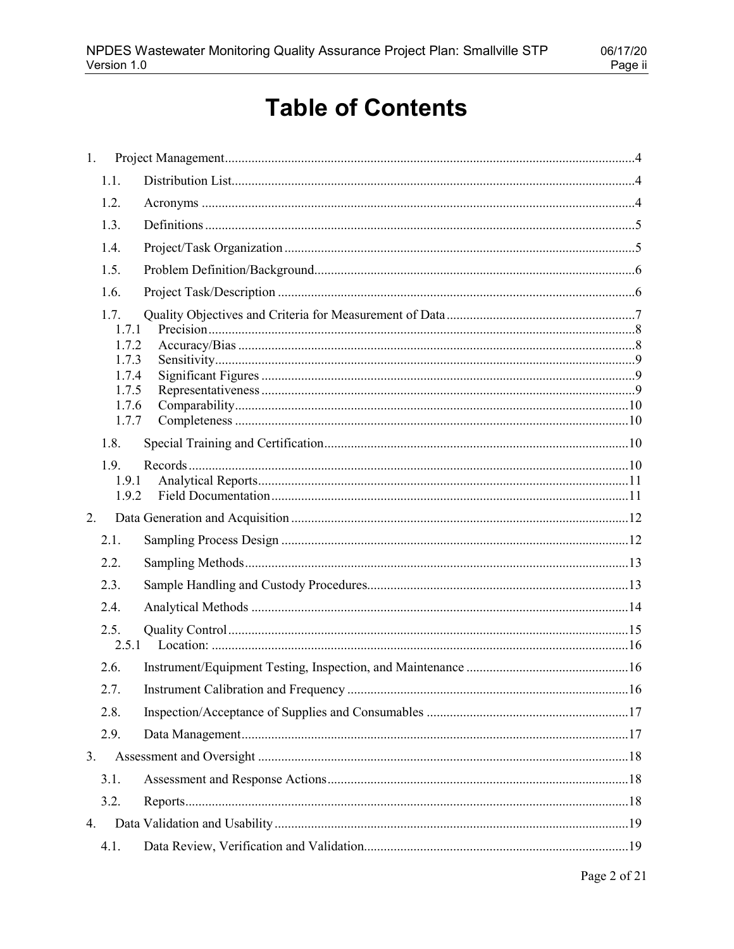# **Table of Contents**

| 1. |                                                            |  |
|----|------------------------------------------------------------|--|
|    | 1.1.                                                       |  |
|    | 1.2.                                                       |  |
|    | 1.3.                                                       |  |
|    | 1.4.                                                       |  |
|    | 1.5.                                                       |  |
|    | 1.6.                                                       |  |
|    | 1.7.<br>1.7.1<br>1.7.2<br>1.7.3<br>1.7.4<br>1.7.5<br>1.7.6 |  |
|    | 1.7.7                                                      |  |
|    | 1.8.                                                       |  |
|    | 1.9.<br>1.9.1<br>1.9.2                                     |  |
| 2. |                                                            |  |
|    | 2.1.                                                       |  |
|    | 2.2.                                                       |  |
|    | 2.3.                                                       |  |
|    | 2.4.                                                       |  |
|    | 2.5.<br>2.5.1                                              |  |
|    | 2.6.                                                       |  |
|    | 2.7.                                                       |  |
|    | 2.8.                                                       |  |
|    | 2.9.                                                       |  |
| 3. |                                                            |  |
|    | 3.1.                                                       |  |
|    | 3.2.                                                       |  |
| 4. |                                                            |  |
|    | 4.1.                                                       |  |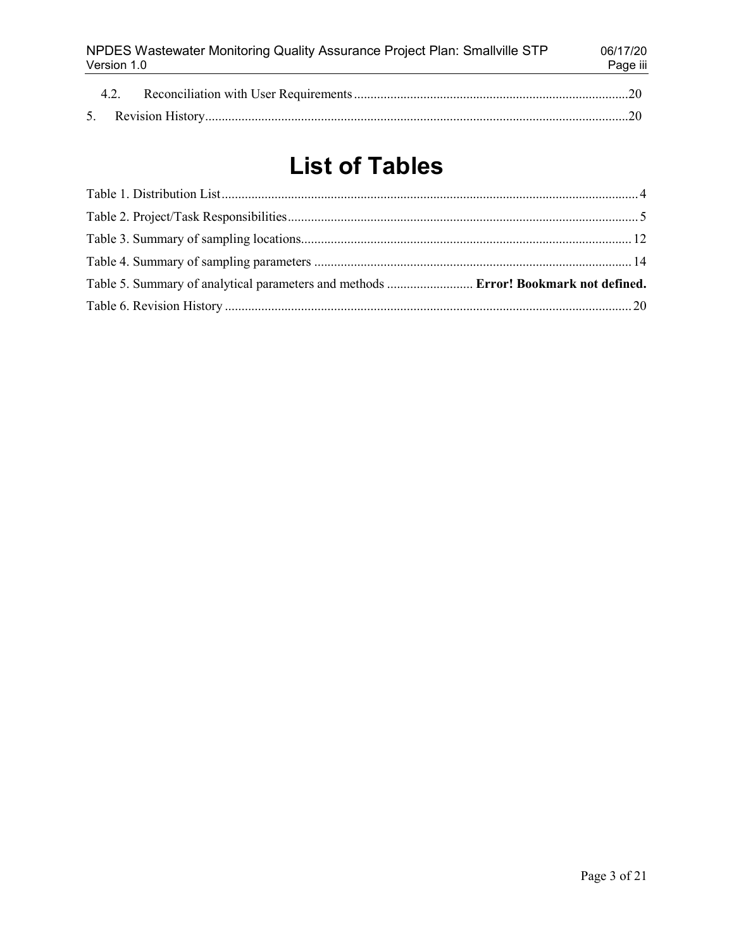| NPDES Wastewater Monitoring Quality Assurance Project Plan: Smallville STP<br>Version 1.0 |  |  |  |
|-------------------------------------------------------------------------------------------|--|--|--|
| 4.2.                                                                                      |  |  |  |
|                                                                                           |  |  |  |

# **List of Tables**

| Table 5. Summary of analytical parameters and methods  Error! Bookmark not defined. |  |
|-------------------------------------------------------------------------------------|--|
|                                                                                     |  |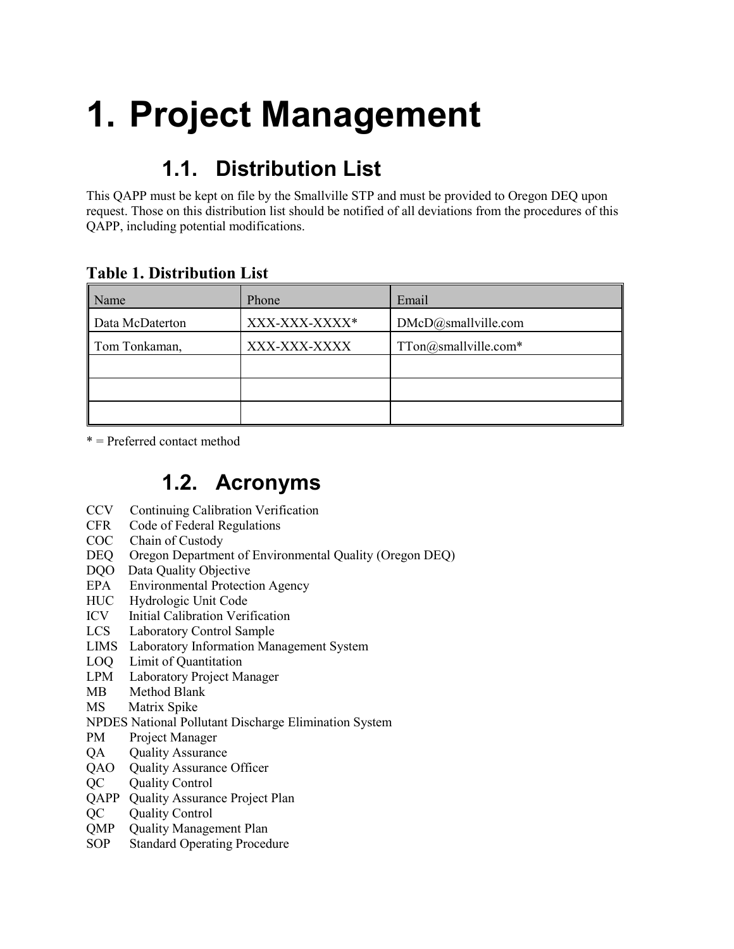# <span id="page-3-1"></span><span id="page-3-0"></span>**1. Project Management**

# **1.1. Distribution List**

This QAPP must be kept on file by the Smallville STP and must be provided to Oregon DEQ upon request. Those on this distribution list should be notified of all deviations from the procedures of this QAPP, including potential modifications.

| Name            | Phone         | Email                                       |  |  |  |
|-----------------|---------------|---------------------------------------------|--|--|--|
| Data McDaterton | XXX-XXX-XXXX* | DMcD@smallville.com<br>TTon@smallville.com* |  |  |  |
| Tom Tonkaman,   | XXX-XXX-XXXX  |                                             |  |  |  |
|                 |               |                                             |  |  |  |
|                 |               |                                             |  |  |  |
|                 |               |                                             |  |  |  |

#### <span id="page-3-3"></span>**Table 1. Distribution List**

<span id="page-3-2"></span>\* = Preferred contact method

#### **1.2. Acronyms**

- CCV Continuing Calibration Verification
- CFR Code of Federal Regulations
- COC Chain of Custody
- DEQ Oregon Department of Environmental Quality (Oregon DEQ)
- DQO Data Quality Objective
- EPA Environmental Protection Agency
- HUC Hydrologic Unit Code
- ICV Initial Calibration Verification
- LCS Laboratory Control Sample
- LIMS Laboratory Information Management System
- LOQ Limit of Quantitation
- LPM Laboratory Project Manager
- MB Method Blank
- MS Matrix Spike
- NPDES National Pollutant Discharge Elimination System
- PM Project Manager
- QA Quality Assurance
- QAO Quality Assurance Officer
- QC Quality Control
- QAPP Quality Assurance Project Plan
- QC Quality Control
- QMP Quality Management Plan
- SOP Standard Operating Procedure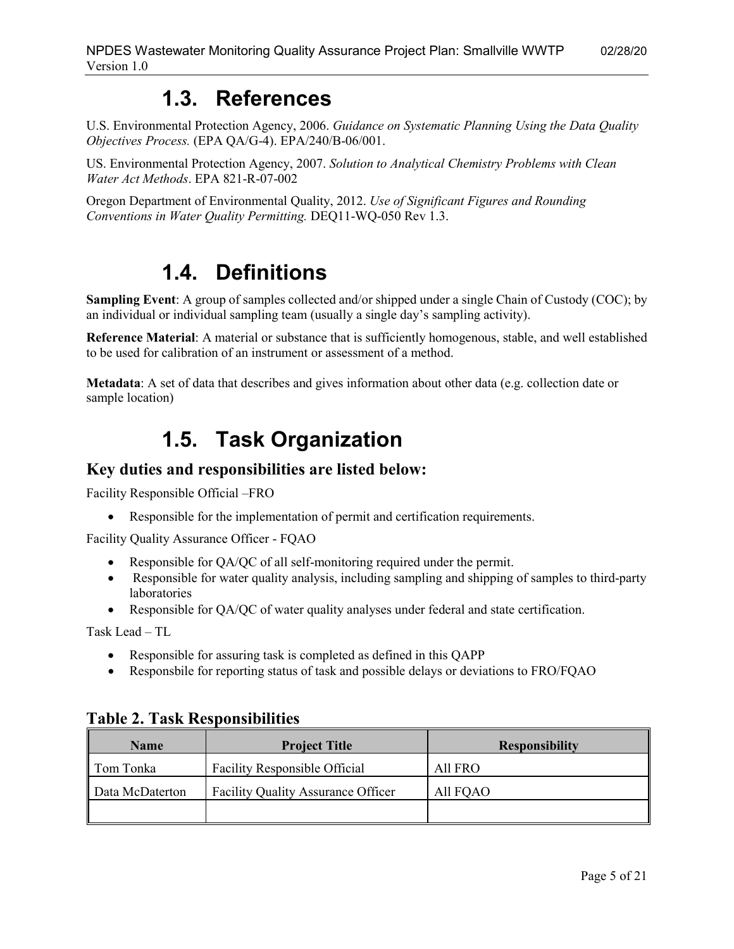#### **1.3. References**

U.S. Environmental Protection Agency, 2006. *Guidance on Systematic Planning Using the Data Quality Objectives Process.* (EPA QA/G-4). EPA/240/B-06/001.

US. Environmental Protection Agency, 2007. *Solution to Analytical Chemistry Problems with Clean Water Act Methods*. EPA 821-R-07-002

<span id="page-4-0"></span>Oregon Department of Environmental Quality, 2012. *Use of Significant Figures and Rounding Conventions in Water Quality Permitting.* DEQ11-WQ-050 Rev 1.3.

## **1.4. Definitions**

**Sampling Event**: A group of samples collected and/or shipped under a single Chain of Custody (COC); by an individual or individual sampling team (usually a single day's sampling activity).

**Reference Material**: A material or substance that is sufficiently homogenous, stable, and well established to be used for calibration of an instrument or assessment of a method.

<span id="page-4-1"></span>**Metadata**: A set of data that describes and gives information about other data (e.g. collection date or sample location)

## **1.5. Task Organization**

#### **Key duties and responsibilities are listed below:**

Facility Responsible Official –FRO

• Responsible for the implementation of permit and certification requirements.

Facility Quality Assurance Officer - FQAO

- Responsible for QA/QC of all self-monitoring required under the permit.
- Responsible for water quality analysis, including sampling and shipping of samples to third-party laboratories
- Responsible for QA/QC of water quality analyses under federal and state certification.

Task Lead – TL

- Responsible for assuring task is completed as defined in this QAPP
- Responsbile for reporting status of task and possible delays or deviations to FRO/FQAO

| <b>Name</b><br><b>Project Title</b> |                                    | <b>Responsibility</b> |
|-------------------------------------|------------------------------------|-----------------------|
| Tom Tonka                           | Facility Responsible Official      | All FRO               |
| Data McDaterton                     | Facility Quality Assurance Officer | All FQAO              |
|                                     |                                    |                       |

#### <span id="page-4-2"></span>**Table 2. Task Responsibilities**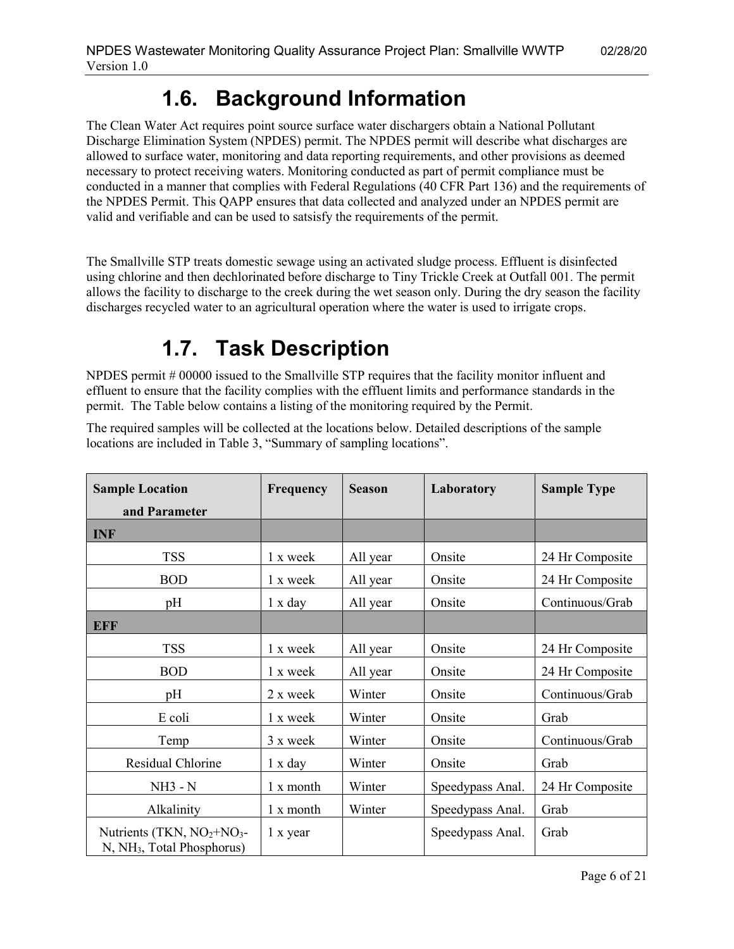## **1.6. Background Information**

<span id="page-5-0"></span>The Clean Water Act requires point source surface water dischargers obtain a National Pollutant Discharge Elimination System (NPDES) permit. The NPDES permit will describe what discharges are allowed to surface water, monitoring and data reporting requirements, and other provisions as deemed necessary to protect receiving waters. Monitoring conducted as part of permit compliance must be conducted in a manner that complies with Federal Regulations (40 CFR Part 136) and the requirements of the NPDES Permit. This QAPP ensures that data collected and analyzed under an NPDES permit are valid and verifiable and can be used to satsisfy the requirements of the permit.

The Smallville STP treats domestic sewage using an activated sludge process. Effluent is disinfected using chlorine and then dechlorinated before discharge to Tiny Trickle Creek at Outfall 001. The permit allows the facility to discharge to the creek during the wet season only. During the dry season the facility discharges recycled water to an agricultural operation where the water is used to irrigate crops.

# **1.7. Task Description**

<span id="page-5-1"></span>NPDES permit # 00000 issued to the Smallville STP requires that the facility monitor influent and effluent to ensure that the facility complies with the effluent limits and performance standards in the permit. The Table below contains a listing of the monitoring required by the Permit.

The required samples will be collected at the locations below. Detailed descriptions of the sample locations are included in Table 3, "Summary of sampling locations".

| <b>Sample Location</b><br>and Parameter                               | <b>Frequency</b> | <b>Season</b> | Laboratory       | <b>Sample Type</b> |
|-----------------------------------------------------------------------|------------------|---------------|------------------|--------------------|
| <b>INF</b>                                                            |                  |               |                  |                    |
| <b>TSS</b>                                                            | 1 x week         | All year      | Onsite           | 24 Hr Composite    |
| <b>BOD</b>                                                            | 1 x week         | All year      | Onsite           | 24 Hr Composite    |
| pH                                                                    | 1 x day          | All year      | Onsite           | Continuous/Grab    |
| <b>EFF</b>                                                            |                  |               |                  |                    |
| <b>TSS</b>                                                            | 1 x week         | All year      | Onsite           | 24 Hr Composite    |
| <b>BOD</b>                                                            | 1 x week         | All year      | Onsite           | 24 Hr Composite    |
| pH                                                                    | 2 x week         | Winter        | Onsite           | Continuous/Grab    |
| E coli                                                                | 1 x week         | Winter        | Onsite           | Grab               |
| Temp                                                                  | 3 x week         | Winter        | Onsite           | Continuous/Grab    |
| Residual Chlorine                                                     | 1 x day          | Winter        | Onsite           | Grab               |
| <b>NH3 - N</b>                                                        | 1 x month        | Winter        | Speedypass Anal. | 24 Hr Composite    |
| Alkalinity                                                            | 1 x month        | Winter        | Speedypass Anal. | Grab               |
| Nutrients (TKN, $NO2+NO3$ -<br>N, NH <sub>3</sub> , Total Phosphorus) | 1 x year         |               | Speedypass Anal. | Grab               |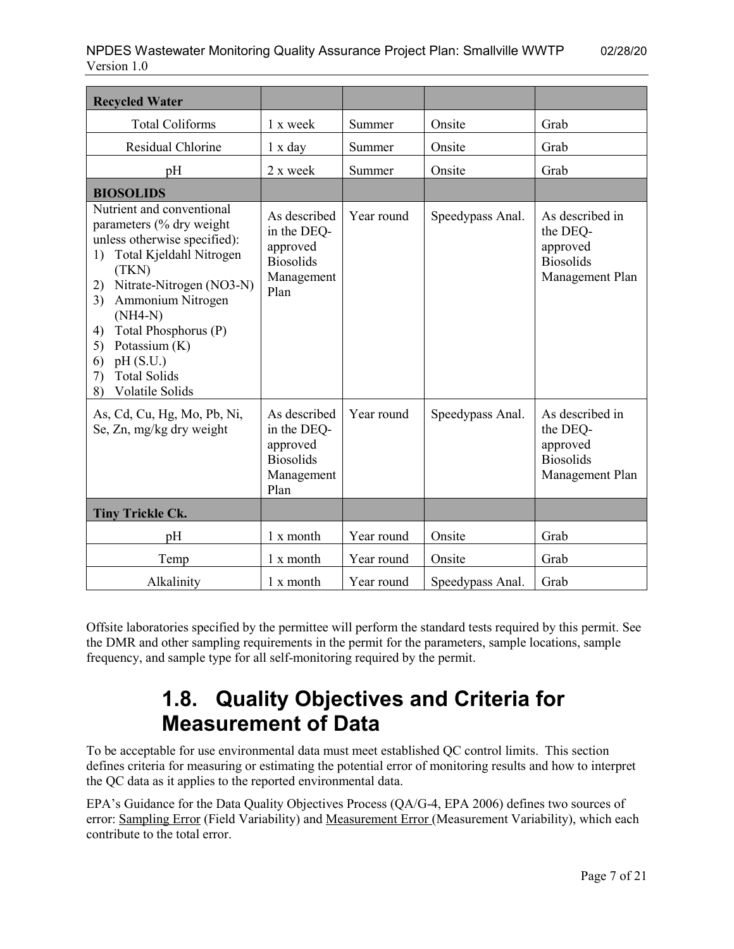| <b>Recycled Water</b>                                                                                                                                                                                                                                                                                                                  |                                                                                   |            |                  |                                                                                |
|----------------------------------------------------------------------------------------------------------------------------------------------------------------------------------------------------------------------------------------------------------------------------------------------------------------------------------------|-----------------------------------------------------------------------------------|------------|------------------|--------------------------------------------------------------------------------|
| <b>Total Coliforms</b>                                                                                                                                                                                                                                                                                                                 | 1 x week                                                                          | Summer     | Onsite           | Grab                                                                           |
| Residual Chlorine                                                                                                                                                                                                                                                                                                                      | 1 x day                                                                           | Summer     | Onsite           | Grab                                                                           |
| pH                                                                                                                                                                                                                                                                                                                                     | 2 x week                                                                          | Summer     | Onsite           | Grab                                                                           |
| <b>BIOSOLIDS</b>                                                                                                                                                                                                                                                                                                                       |                                                                                   |            |                  |                                                                                |
| Nutrient and conventional<br>parameters (% dry weight<br>unless otherwise specified):<br>Total Kjeldahl Nitrogen<br>1)<br>(TKN)<br>Nitrate-Nitrogen (NO3-N)<br>2)<br>Ammonium Nitrogen<br>3)<br>$(NH4-N)$<br>Total Phosphorus (P)<br>4)<br>Potassium (K)<br>5)<br>pH(S.U.)<br>6)<br><b>Total Solids</b><br>7)<br>Volatile Solids<br>8) | As described<br>in the DEQ-<br>approved<br><b>Biosolids</b><br>Management<br>Plan | Year round | Speedypass Anal. | As described in<br>the DEQ-<br>approved<br><b>Biosolids</b><br>Management Plan |
| As, Cd, Cu, Hg, Mo, Pb, Ni,<br>Se, Zn, mg/kg dry weight                                                                                                                                                                                                                                                                                | As described<br>in the DEQ-<br>approved<br><b>Biosolids</b><br>Management<br>Plan | Year round | Speedypass Anal. | As described in<br>the DEQ-<br>approved<br><b>Biosolids</b><br>Management Plan |
| <b>Tiny Trickle Ck.</b>                                                                                                                                                                                                                                                                                                                |                                                                                   |            |                  |                                                                                |
| pH                                                                                                                                                                                                                                                                                                                                     | 1 x month                                                                         | Year round | Onsite           | Grab                                                                           |
| Temp                                                                                                                                                                                                                                                                                                                                   | 1 x month                                                                         | Year round | Onsite           | Grab                                                                           |
| Alkalinity                                                                                                                                                                                                                                                                                                                             | 1 x month                                                                         | Year round | Speedypass Anal. | Grab                                                                           |

<span id="page-6-0"></span>Offsite laboratories specified by the permittee will perform the standard tests required by this permit. See the DMR and other sampling requirements in the permit for the parameters, sample locations, sample frequency, and sample type for all self-monitoring required by the permit.

# **1.8. Quality Objectives and Criteria for Measurement of Data**

To be acceptable for use environmental data must meet established QC control limits. This section defines criteria for measuring or estimating the potential error of monitoring results and how to interpret the QC data as it applies to the reported environmental data.

EPA's Guidance for the Data Quality Objectives Process (QA/G-4, EPA 2006) defines two sources of error: Sampling Error (Field Variability) and Measurement Error (Measurement Variability), which each contribute to the total error.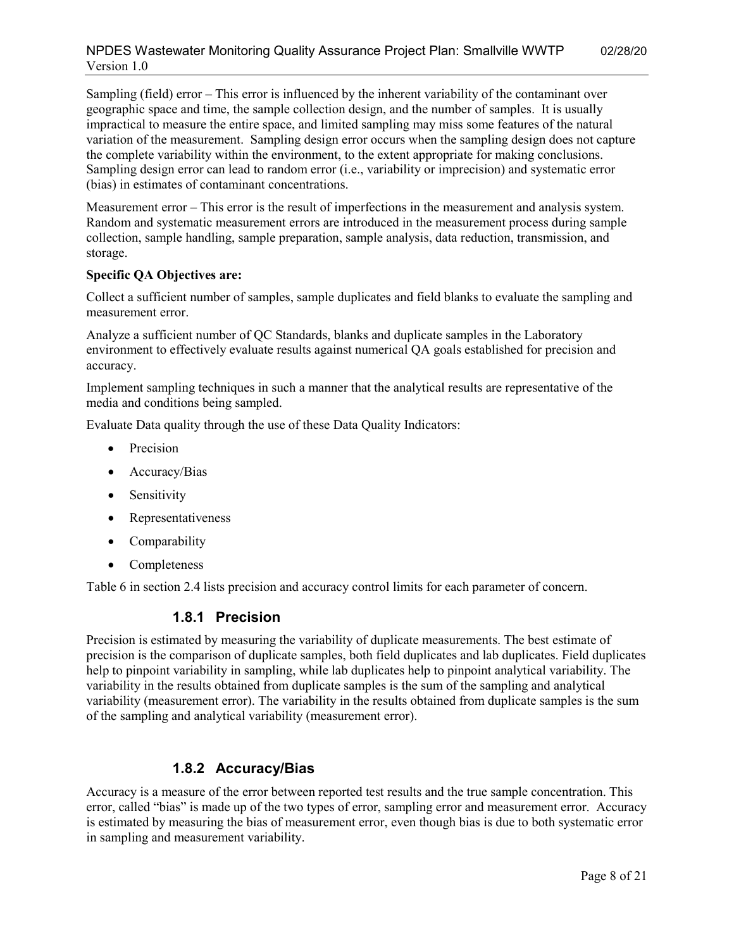#### NPDES Wastewater Monitoring Quality Assurance Project Plan: Smallville WWTP 02/28/20 Version 1.0

Sampling (field) error – This error is influenced by the inherent variability of the contaminant over geographic space and time, the sample collection design, and the number of samples. It is usually impractical to measure the entire space, and limited sampling may miss some features of the natural variation of the measurement. Sampling design error occurs when the sampling design does not capture the complete variability within the environment, to the extent appropriate for making conclusions. Sampling design error can lead to random error (i.e., variability or imprecision) and systematic error (bias) in estimates of contaminant concentrations.

Measurement error – This error is the result of imperfections in the measurement and analysis system. Random and systematic measurement errors are introduced in the measurement process during sample collection, sample handling, sample preparation, sample analysis, data reduction, transmission, and storage.

#### **Specific QA Objectives are:**

Collect a sufficient number of samples, sample duplicates and field blanks to evaluate the sampling and measurement error.

Analyze a sufficient number of QC Standards, blanks and duplicate samples in the Laboratory environment to effectively evaluate results against numerical QA goals established for precision and accuracy.

Implement sampling techniques in such a manner that the analytical results are representative of the media and conditions being sampled.

Evaluate Data quality through the use of these Data Quality Indicators:

- Precision
- Accuracy/Bias
- Sensitivity
- Representativeness
- Comparability
- Completeness

<span id="page-7-0"></span>Table 6 in section 2.4 lists precision and accuracy control limits for each parameter of concern.

#### **1.8.1 Precision**

Precision is estimated by measuring the variability of duplicate measurements. The best estimate of precision is the comparison of duplicate samples, both field duplicates and lab duplicates. Field duplicates help to pinpoint variability in sampling, while lab duplicates help to pinpoint analytical variability. The variability in the results obtained from duplicate samples is the sum of the sampling and analytical variability (measurement error). The variability in the results obtained from duplicate samples is the sum of the sampling and analytical variability (measurement error).

#### **1.8.2 Accuracy/Bias**

<span id="page-7-1"></span>Accuracy is a measure of the error between reported test results and the true sample concentration. This error, called "bias" is made up of the two types of error, sampling error and measurement error. Accuracy is estimated by measuring the bias of measurement error, even though bias is due to both systematic error in sampling and measurement variability.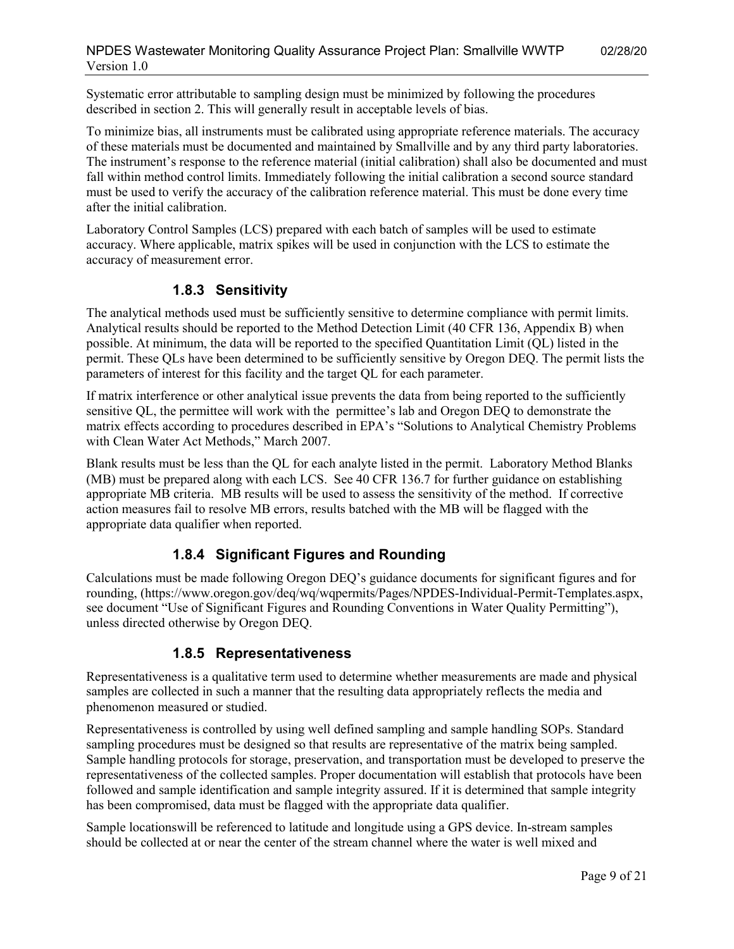Systematic error attributable to sampling design must be minimized by following the procedures described in section 2. This will generally result in acceptable levels of bias.

To minimize bias, all instruments must be calibrated using appropriate reference materials. The accuracy of these materials must be documented and maintained by Smallville and by any third party laboratories. The instrument's response to the reference material (initial calibration) shall also be documented and must fall within method control limits. Immediately following the initial calibration a second source standard must be used to verify the accuracy of the calibration reference material. This must be done every time after the initial calibration.

Laboratory Control Samples (LCS) prepared with each batch of samples will be used to estimate accuracy. Where applicable, matrix spikes will be used in conjunction with the LCS to estimate the accuracy of measurement error.

#### **1.8.3 Sensitivity**

<span id="page-8-0"></span>The analytical methods used must be sufficiently sensitive to determine compliance with permit limits. Analytical results should be reported to the Method Detection Limit (40 CFR 136, Appendix B) when possible. At minimum, the data will be reported to the specified Quantitation Limit (QL) listed in the permit. These QLs have been determined to be sufficiently sensitive by Oregon DEQ. The permit lists the parameters of interest for this facility and the target QL for each parameter.

If matrix interference or other analytical issue prevents the data from being reported to the sufficiently sensitive QL, the permittee will work with the permittee's lab and Oregon DEQ to demonstrate the matrix effects according to procedures described in EPA's "Solutions to Analytical Chemistry Problems with Clean Water Act Methods," March 2007.

Blank results must be less than the QL for each analyte listed in the permit. Laboratory Method Blanks (MB) must be prepared along with each LCS. See 40 CFR 136.7 for further guidance on establishing appropriate MB criteria. MB results will be used to assess the sensitivity of the method. If corrective action measures fail to resolve MB errors, results batched with the MB will be flagged with the appropriate data qualifier when reported.

#### **1.8.4 Significant Figures and Rounding**

<span id="page-8-1"></span>Calculations must be made following Oregon DEQ's guidance documents for significant figures and for rounding, (https://www.oregon.gov/deq/wq/wqpermits/Pages/NPDES-Individual-Permit-Templates.aspx, see document "Use of Significant Figures and Rounding Conventions in Water Quality Permitting"), unless directed otherwise by Oregon DEQ.

#### **1.8.5 Representativeness**

<span id="page-8-2"></span>Representativeness is a qualitative term used to determine whether measurements are made and physical samples are collected in such a manner that the resulting data appropriately reflects the media and phenomenon measured or studied.

Representativeness is controlled by using well defined sampling and sample handling SOPs. Standard sampling procedures must be designed so that results are representative of the matrix being sampled. Sample handling protocols for storage, preservation, and transportation must be developed to preserve the representativeness of the collected samples. Proper documentation will establish that protocols have been followed and sample identification and sample integrity assured. If it is determined that sample integrity has been compromised, data must be flagged with the appropriate data qualifier.

Sample locationswill be referenced to latitude and longitude using a GPS device. In-stream samples should be collected at or near the center of the stream channel where the water is well mixed and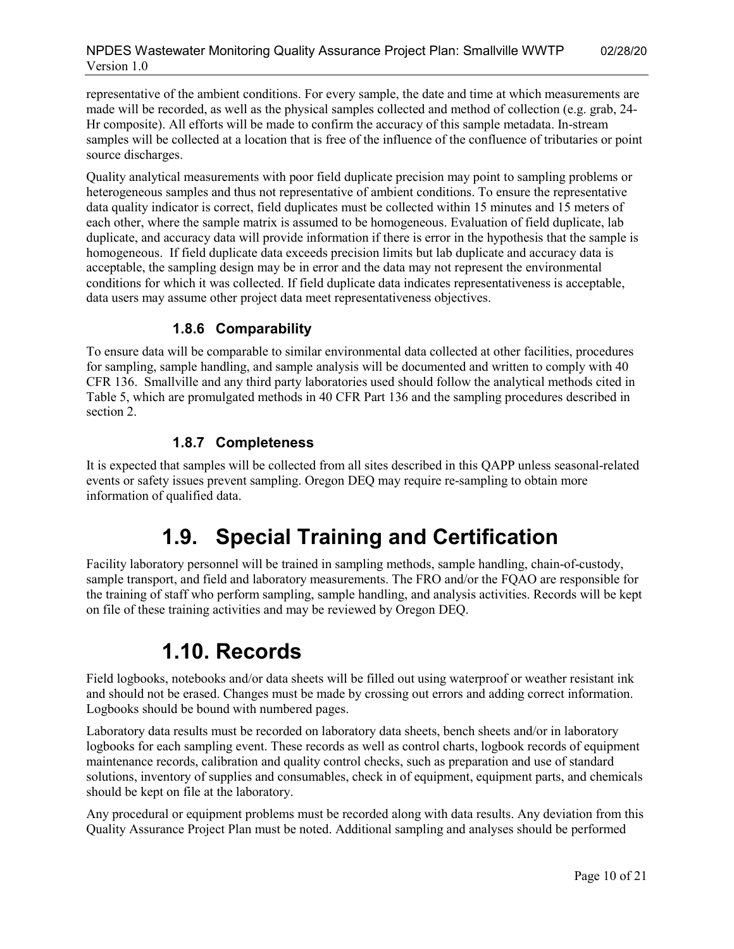representative of the ambient conditions. For every sample, the date and time at which measurements are made will be recorded, as well as the physical samples collected and method of collection (e.g. grab, 24- Hr composite). All efforts will be made to confirm the accuracy of this sample metadata. In-stream samples will be collected at a location that is free of the influence of the confluence of tributaries or point source discharges.

Quality analytical measurements with poor field duplicate precision may point to sampling problems or heterogeneous samples and thus not representative of ambient conditions. To ensure the representative data quality indicator is correct, field duplicates must be collected within 15 minutes and 15 meters of each other, where the sample matrix is assumed to be homogeneous. Evaluation of field duplicate, lab duplicate, and accuracy data will provide information if there is error in the hypothesis that the sample is homogeneous. If field duplicate data exceeds precision limits but lab duplicate and accuracy data is acceptable, the sampling design may be in error and the data may not represent the environmental conditions for which it was collected. If field duplicate data indicates representativeness is acceptable, data users may assume other project data meet representativeness objectives.

#### **1.8.6 Comparability**

<span id="page-9-0"></span>To ensure data will be comparable to similar environmental data collected at other facilities, procedures for sampling, sample handling, and sample analysis will be documented and written to comply with 40 CFR 136. Smallville and any third party laboratories used should follow the analytical methods cited in Table 5, which are promulgated methods in 40 CFR Part 136 and the sampling procedures described in section 2.

#### **1.8.7 Completeness**

<span id="page-9-2"></span><span id="page-9-1"></span>It is expected that samples will be collected from all sites described in this QAPP unless seasonal-related events or safety issues prevent sampling. Oregon DEQ may require re-sampling to obtain more information of qualified data.

### **1.9. Special Training and Certification**

Facility laboratory personnel will be trained in sampling methods, sample handling, chain-of-custody, sample transport, and field and laboratory measurements. The FRO and/or the FQAO are responsible for the training of staff who perform sampling, sample handling, and analysis activities. Records will be kept on file of these training activities and may be reviewed by Oregon DEQ.

### **1.10. Records**

<span id="page-9-3"></span>Field logbooks, notebooks and/or data sheets will be filled out using waterproof or weather resistant ink and should not be erased. Changes must be made by crossing out errors and adding correct information. Logbooks should be bound with numbered pages.

Laboratory data results must be recorded on laboratory data sheets, bench sheets and/or in laboratory logbooks for each sampling event. These records as well as control charts, logbook records of equipment maintenance records, calibration and quality control checks, such as preparation and use of standard solutions, inventory of supplies and consumables, check in of equipment, equipment parts, and chemicals should be kept on file at the laboratory.

Any procedural or equipment problems must be recorded along with data results. Any deviation from this Quality Assurance Project Plan must be noted. Additional sampling and analyses should be performed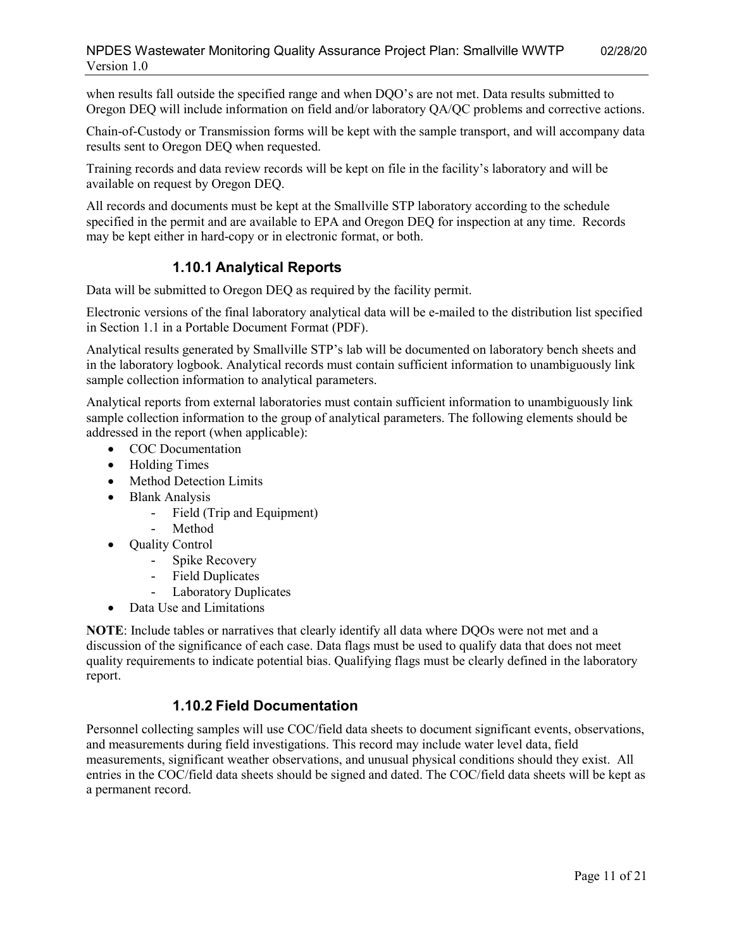when results fall outside the specified range and when DQO's are not met. Data results submitted to Oregon DEQ will include information on field and/or laboratory QA/QC problems and corrective actions.

Chain-of-Custody or Transmission forms will be kept with the sample transport, and will accompany data results sent to Oregon DEQ when requested.

Training records and data review records will be kept on file in the facility's laboratory and will be available on request by Oregon DEQ.

All records and documents must be kept at the Smallville STP laboratory according to the schedule specified in the permit and are available to EPA and Oregon DEQ for inspection at any time. Records may be kept either in hard-copy or in electronic format, or both.

#### **1.10.1 Analytical Reports**

<span id="page-10-0"></span>Data will be submitted to Oregon DEQ as required by the facility permit.

Electronic versions of the final laboratory analytical data will be e-mailed to the distribution list specified in Section 1.1 in a Portable Document Format (PDF).

Analytical results generated by Smallville STP's lab will be documented on laboratory bench sheets and in the laboratory logbook. Analytical records must contain sufficient information to unambiguously link sample collection information to analytical parameters.

Analytical reports from external laboratories must contain sufficient information to unambiguously link sample collection information to the group of analytical parameters. The following elements should be addressed in the report (when applicable):

- COC Documentation
- Holding Times
- Method Detection Limits
- Blank Analysis
	- Field (Trip and Equipment)
	- Method
- Ouality Control
	- Spike Recovery
	- Field Duplicates
	- Laboratory Duplicates
- Data Use and Limitations

**NOTE**: Include tables or narratives that clearly identify all data where DQOs were not met and a discussion of the significance of each case. Data flags must be used to qualify data that does not meet quality requirements to indicate potential bias. Qualifying flags must be clearly defined in the laboratory report.

#### **1.10.2 Field Documentation**

<span id="page-10-1"></span>Personnel collecting samples will use COC/field data sheets to document significant events, observations, and measurements during field investigations. This record may include water level data, field measurements, significant weather observations, and unusual physical conditions should they exist. All entries in the COC/field data sheets should be signed and dated. The COC/field data sheets will be kept as a permanent record.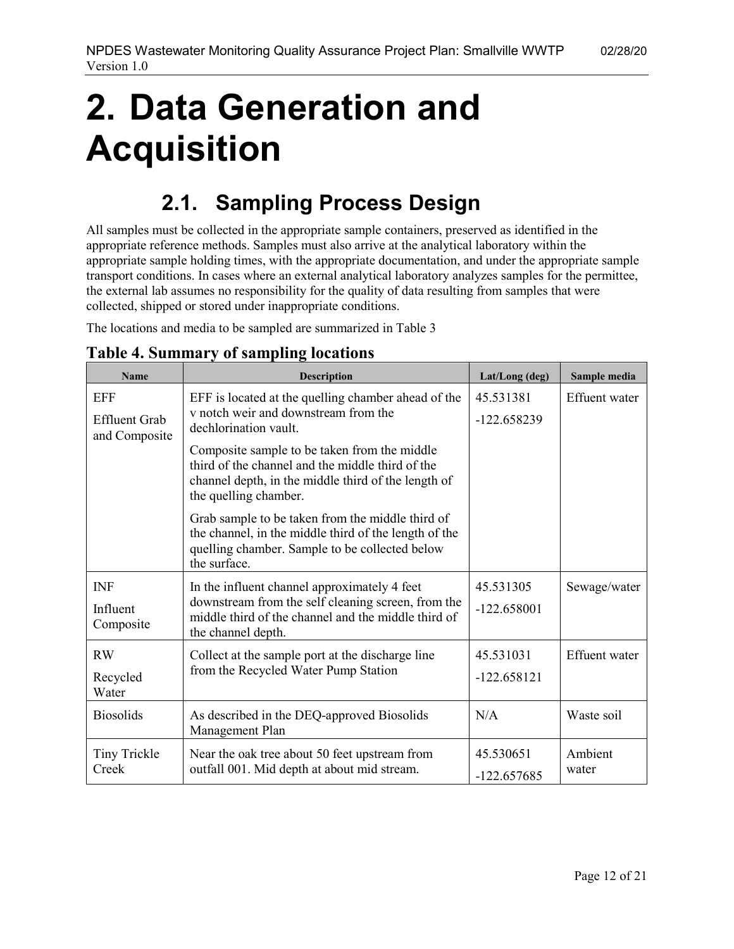# <span id="page-11-0"></span>**2. Data Generation and Acquisition**

## **2.1. Sampling Process Design**

<span id="page-11-1"></span>All samples must be collected in the appropriate sample containers, preserved as identified in the appropriate reference methods. Samples must also arrive at the analytical laboratory within the appropriate sample holding times, with the appropriate documentation, and under the appropriate sample transport conditions. In cases where an external analytical laboratory analyzes samples for the permittee, the external lab assumes no responsibility for the quality of data resulting from samples that were collected, shipped or stored under inappropriate conditions.

The locations and media to be sampled are summarized in Table 3

| <b>Name</b>                                         | <b>Description</b>                                                                                                                                                               | Lat/Long (deg)             | Sample media         |
|-----------------------------------------------------|----------------------------------------------------------------------------------------------------------------------------------------------------------------------------------|----------------------------|----------------------|
| <b>EFF</b><br><b>Effluent Grab</b><br>and Composite | EFF is located at the quelling chamber ahead of the<br>v notch weir and downstream from the<br>dechlorination vault.                                                             | 45.531381<br>$-122.658239$ | <b>Effuent</b> water |
|                                                     | Composite sample to be taken from the middle<br>third of the channel and the middle third of the<br>channel depth, in the middle third of the length of<br>the quelling chamber. |                            |                      |
|                                                     | Grab sample to be taken from the middle third of<br>the channel, in the middle third of the length of the<br>quelling chamber. Sample to be collected below<br>the surface.      |                            |                      |
| <b>INF</b><br>Influent<br>Composite                 | In the influent channel approximately 4 feet<br>downstream from the self cleaning screen, from the<br>middle third of the channel and the middle third of<br>the channel depth.  | 45.531305<br>$-122.658001$ | Sewage/water         |
| <b>RW</b><br>Recycled<br>Water                      | Collect at the sample port at the discharge line<br>from the Recycled Water Pump Station                                                                                         | 45.531031<br>$-122.658121$ | <b>Effuent</b> water |
| <b>Biosolids</b>                                    | As described in the DEQ-approved Biosolids<br>Management Plan                                                                                                                    | N/A                        | Waste soil           |
| <b>Tiny Trickle</b><br>Creek                        | Near the oak tree about 50 feet upstream from<br>outfall 001. Mid depth at about mid stream.                                                                                     | 45.530651<br>$-122.657685$ | Ambient<br>water     |

#### <span id="page-11-2"></span>**Table 4. Summary of sampling locations**

Version 1.0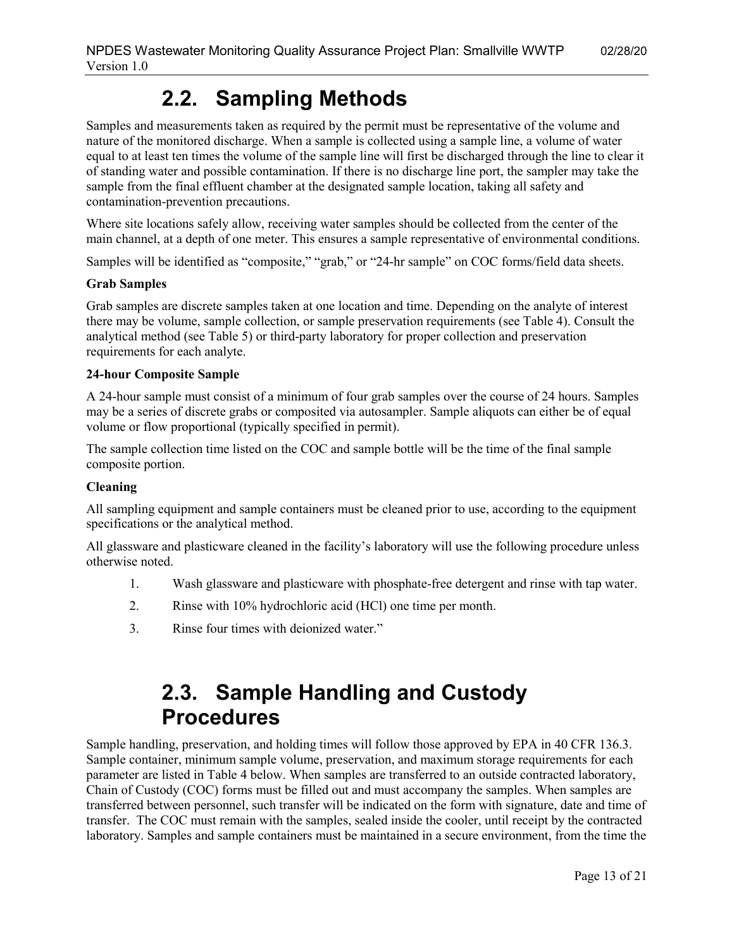## **2.2. Sampling Methods**

<span id="page-12-0"></span>Samples and measurements taken as required by the permit must be representative of the volume and nature of the monitored discharge. When a sample is collected using a sample line, a volume of water equal to at least ten times the volume of the sample line will first be discharged through the line to clear it of standing water and possible contamination. If there is no discharge line port, the sampler may take the sample from the final effluent chamber at the designated sample location, taking all safety and contamination-prevention precautions.

Where site locations safely allow, receiving water samples should be collected from the center of the main channel, at a depth of one meter. This ensures a sample representative of environmental conditions.

Samples will be identified as "composite," "grab," or "24-hr sample" on COC forms/field data sheets.

#### **Grab Samples**

Grab samples are discrete samples taken at one location and time. Depending on the analyte of interest there may be volume, sample collection, or sample preservation requirements (see Table 4). Consult the analytical method (see Table 5) or third-party laboratory for proper collection and preservation requirements for each analyte.

#### **24-hour Composite Sample**

A 24-hour sample must consist of a minimum of four grab samples over the course of 24 hours. Samples may be a series of discrete grabs or composited via autosampler. Sample aliquots can either be of equal volume or flow proportional (typically specified in permit).

The sample collection time listed on the COC and sample bottle will be the time of the final sample composite portion.

#### **Cleaning**

All sampling equipment and sample containers must be cleaned prior to use, according to the equipment specifications or the analytical method.

All glassware and plasticware cleaned in the facility's laboratory will use the following procedure unless otherwise noted.

- 1. Wash glassware and plasticware with phosphate-free detergent and rinse with tap water.
- 2. Rinse with 10% hydrochloric acid (HCl) one time per month.
- <span id="page-12-1"></span>3. Rinse four times with deionized water."

### **2.3. Sample Handling and Custody Procedures**

Sample handling, preservation, and holding times will follow those approved by EPA in 40 CFR 136.3. Sample container, minimum sample volume, preservation, and maximum storage requirements for each parameter are listed in Table 4 below. When samples are transferred to an outside contracted laboratory, Chain of Custody (COC) forms must be filled out and must accompany the samples. When samples are transferred between personnel, such transfer will be indicated on the form with signature, date and time of transfer. The COC must remain with the samples, sealed inside the cooler, until receipt by the contracted laboratory. Samples and sample containers must be maintained in a secure environment, from the time the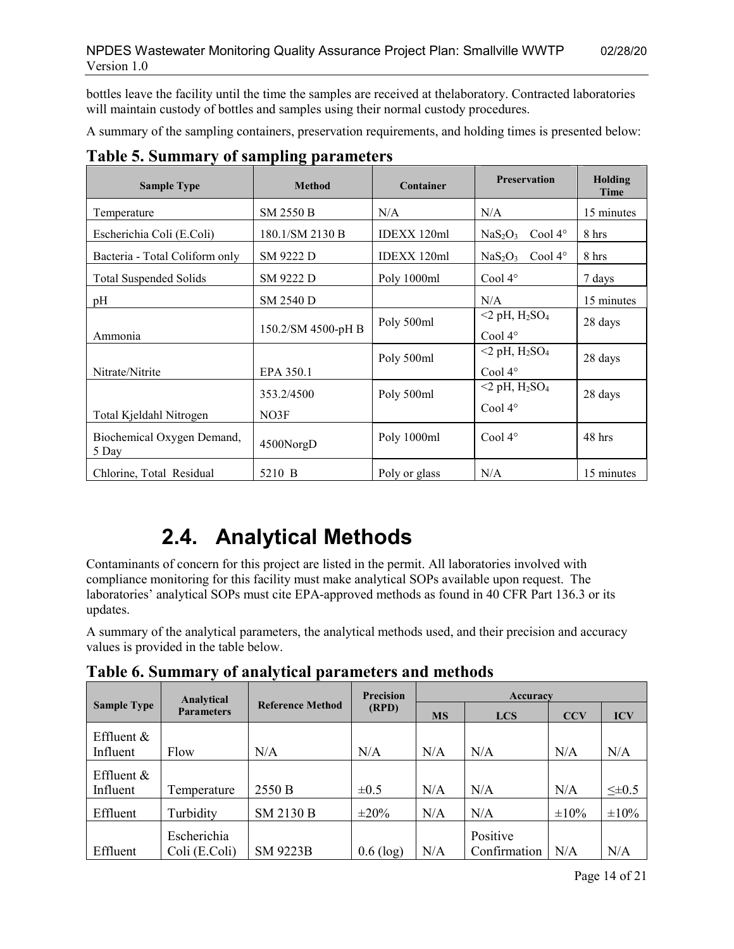bottles leave the facility until the time the samples are received at thelaboratory. Contracted laboratories will maintain custody of bottles and samples using their normal custody procedures.

A summary of the sampling containers, preservation requirements, and holding times is presented below:

| <b>Sample Type</b>                  | <b>Method</b>      | Container     | <b>Preservation</b>                                        | Holding<br>Time |
|-------------------------------------|--------------------|---------------|------------------------------------------------------------|-----------------|
| Temperature                         | SM 2550 B          | N/A           | N/A                                                        | 15 minutes      |
| Escherichia Coli (E.Coli)           | 180.1/SM 2130 B    | IDEXX 120ml   | NaS <sub>2</sub> O <sub>3</sub><br>Cool $4^\circ$          | 8 hrs           |
| Bacteria - Total Coliform only      | SM 9222 D          | IDEXX 120ml   | NaS <sub>2</sub> O <sub>3</sub><br>Cool 4°                 | 8 hrs           |
| <b>Total Suspended Solids</b>       | SM 9222 D          | Poly 1000ml   | Cool $4^\circ$                                             | 7 days          |
| pH                                  | SM 2540 D          |               | N/A                                                        | 15 minutes      |
| Ammonia                             | 150.2/SM 4500-pH B | Poly 500ml    | $<$ 2 pH, H <sub>2</sub> SO <sub>4</sub><br>Cool $4^\circ$ | 28 days         |
| Nitrate/Nitrite<br>EPA 350.1        |                    | Poly 500ml    | $<$ 2 pH, H <sub>2</sub> SO <sub>4</sub><br>Cool $4^\circ$ | 28 days         |
| Total Kjeldahl Nitrogen             | 353.2/4500<br>NO3F | Poly 500ml    | $<$ 2 pH, H <sub>2</sub> SO <sub>4</sub><br>Cool $4^\circ$ | 28 days         |
| Biochemical Oxygen Demand,<br>5 Day | 4500NorgD          | Poly 1000ml   | Cool $4^\circ$                                             | 48 hrs          |
| Chlorine, Total Residual            | 5210 B             | Poly or glass | N/A                                                        | 15 minutes      |

#### <span id="page-13-1"></span>**Table 5. Summary of sampling parameters**

# **2.4. Analytical Methods**

<span id="page-13-0"></span>Contaminants of concern for this project are listed in the permit. All laboratories involved with compliance monitoring for this facility must make analytical SOPs available upon request. The laboratories' analytical SOPs must cite EPA-approved methods as found in 40 CFR Part 136.3 or its updates.

A summary of the analytical parameters, the analytical methods used, and their precision and accuracy values is provided in the table below.

|                    | Analytical                   |                         | <b>Precision</b> | <b>Accuracy</b> |                          |            |                |
|--------------------|------------------------------|-------------------------|------------------|-----------------|--------------------------|------------|----------------|
| <b>Sample Type</b> | <b>Parameters</b>            | <b>Reference Method</b> | (RPD)            | <b>MS</b>       | <b>LCS</b>               | <b>CCV</b> | <b>ICV</b>     |
| Effluent $\&$      |                              |                         |                  |                 |                          |            |                |
| Influent           | Flow                         | N/A                     | N/A              | N/A             | N/A                      | N/A        | N/A            |
| Effluent $\&$      |                              |                         |                  |                 |                          |            |                |
| Influent           | Temperature                  | 2550 B                  | $\pm 0.5$        | N/A             | N/A                      | N/A        | $\leq \pm 0.5$ |
| Effluent           | Turbidity                    | SM 2130 B               | $\pm 20\%$       | N/A             | N/A                      | $\pm 10\%$ | $\pm 10\%$     |
| Effluent           | Escherichia<br>Coli (E.Coli) | <b>SM 9223B</b>         | $0.6$ (log)      | N/A             | Positive<br>Confirmation | N/A        | N/A            |

**Table 6. Summary of analytical parameters and methods**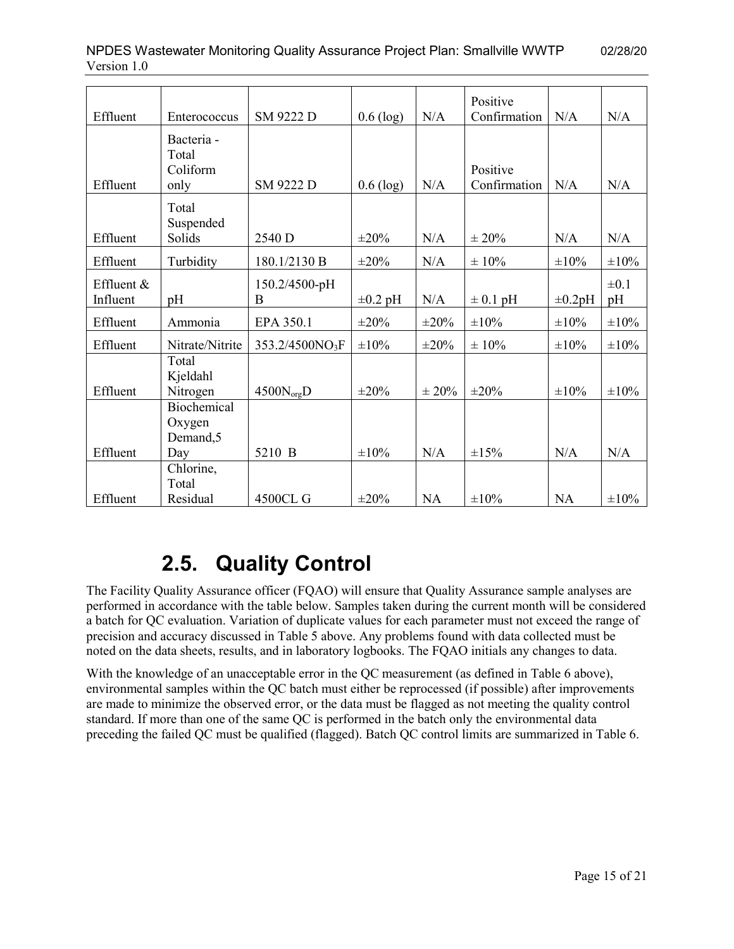| T |  |  |  |  |
|---|--|--|--|--|
|   |  |  |  |  |
|   |  |  |  |  |

NPDES Wastewater Monitoring Quality Assurance Project Plan: Smallville WWTP 02/28/20

| Effluent                 | Enterococcus                       | SM 9222 D                   | $0.6$ (log)  | N/A        | Positive<br>Confirmation | N/A          | N/A             |
|--------------------------|------------------------------------|-----------------------------|--------------|------------|--------------------------|--------------|-----------------|
|                          | Bacteria -<br>Total<br>Coliform    |                             |              |            | Positive                 |              |                 |
| Effluent                 | only                               | SM 9222 D                   | $0.6$ (log)  | N/A        | Confirmation             | N/A          | N/A             |
|                          | Total<br>Suspended                 |                             |              |            |                          |              |                 |
| Effluent                 | Solids                             | 2540 D                      | $\pm 20\%$   | N/A        | $\pm 20\%$               | N/A          | N/A             |
| Effluent                 | Turbidity                          | 180.1/2130 B                | $\pm 20\%$   | N/A        | $\pm 10\%$               | $\pm 10\%$   | $\pm 10\%$      |
| Effluent $&$<br>Influent | pH                                 | 150.2/4500-pH<br>B          | $\pm 0.2$ pH | N/A        | $\pm$ 0.1 pH             | $\pm 0.2$ pH | $\pm 0.1$<br>pH |
| Effluent                 | Ammonia                            | EPA 350.1                   | $\pm 20\%$   | $\pm 20\%$ | $\pm 10\%$               | $\pm 10\%$   | $\pm 10\%$      |
| Effluent                 | Nitrate/Nitrite                    | 353.2/4500NO <sub>3</sub> F | $\pm 10\%$   | $\pm 20\%$ | $\pm 10\%$               | $\pm 10\%$   | $\pm 10\%$      |
| Effluent                 | Total<br>Kjeldahl<br>Nitrogen      | $4500N_{org}D$              | $\pm 20\%$   | $\pm 20\%$ | $\pm 20\%$               | $\pm 10\%$   | $\pm 10\%$      |
|                          | Biochemical<br>Oxygen<br>Demand, 5 |                             |              |            |                          |              |                 |
| Effluent                 | Day                                | 5210 B                      | $\pm 10\%$   | N/A        | $\pm 15\%$               | N/A          | N/A             |
|                          | Chlorine,<br>Total                 |                             |              |            |                          |              |                 |
| Effluent                 | Residual                           | 4500CL G                    | $\pm 20\%$   | <b>NA</b>  | ±10%                     | <b>NA</b>    | $\pm 10\%$      |

# **2.5. Quality Control**

<span id="page-14-0"></span>The Facility Quality Assurance officer (FQAO) will ensure that Quality Assurance sample analyses are performed in accordance with the table below. Samples taken during the current month will be considered a batch for QC evaluation. Variation of duplicate values for each parameter must not exceed the range of precision and accuracy discussed in Table 5 above. Any problems found with data collected must be noted on the data sheets, results, and in laboratory logbooks. The FQAO initials any changes to data.

With the knowledge of an unacceptable error in the QC measurement (as defined in Table 6 above), environmental samples within the QC batch must either be reprocessed (if possible) after improvements are made to minimize the observed error, or the data must be flagged as not meeting the quality control standard. If more than one of the same QC is performed in the batch only the environmental data preceding the failed QC must be qualified (flagged). Batch QC control limits are summarized in Table 6.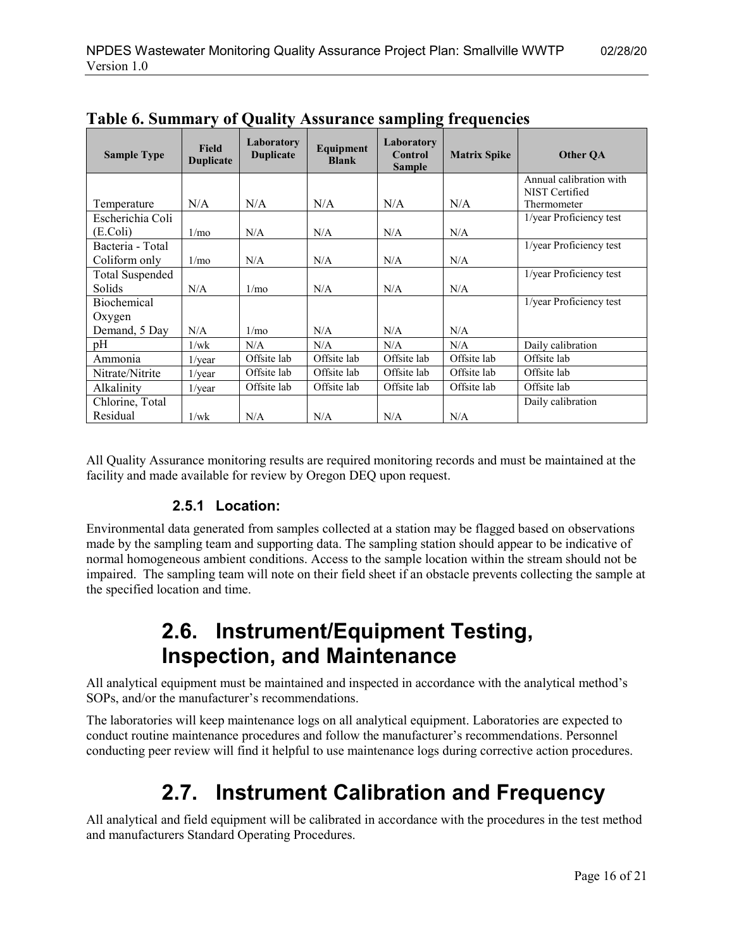| <b>Sample Type</b>     | <b>Field</b><br><b>Duplicate</b> | Laboratory<br><b>Duplicate</b> | Equipment<br><b>Blank</b> | Laboratory<br>Control<br><b>Sample</b> | <b>Matrix Spike</b> | Other OA                |
|------------------------|----------------------------------|--------------------------------|---------------------------|----------------------------------------|---------------------|-------------------------|
|                        |                                  |                                |                           |                                        |                     | Annual calibration with |
|                        | N/A                              | N/A                            | N/A                       | N/A                                    | N/A                 | NIST Certified          |
| Temperature            |                                  |                                |                           |                                        |                     | Thermometer             |
| Escherichia Coli       |                                  |                                |                           |                                        |                     | 1/year Proficiency test |
| (E.Coli)               | 1/m <sub>o</sub>                 | N/A                            | N/A                       | N/A                                    | N/A                 |                         |
| Bacteria - Total       |                                  |                                |                           |                                        |                     | 1/year Proficiency test |
| Coliform only          | 1/m <sub>o</sub>                 | N/A                            | N/A                       | N/A                                    | N/A                 |                         |
| <b>Total Suspended</b> |                                  |                                |                           |                                        |                     | 1/year Proficiency test |
| <b>Solids</b>          | N/A                              | 1/m <sub>o</sub>               | N/A                       | N/A                                    | N/A                 |                         |
| <b>Biochemical</b>     |                                  |                                |                           |                                        |                     | 1/year Proficiency test |
| Oxygen                 |                                  |                                |                           |                                        |                     |                         |
| Demand, 5 Day          | N/A                              | 1/m <sub>O</sub>               | N/A                       | N/A                                    | N/A                 |                         |
| pΗ                     | 1/wk                             | N/A                            | N/A                       | N/A                                    | N/A                 | Daily calibration       |
| Ammonia                | $1$ /year                        | Offsite lab                    | Offsite lab               | Offsite lab                            | Offsite lab         | Offsite lab             |
| Nitrate/Nitrite        | $1$ /year                        | Offsite lab                    | Offsite lab               | Offsite lab                            | Offsite lab         | Offsite lab             |
| Alkalinity             | $1$ /year                        | Offsite lab                    | Offsite lab               | Offsite lab                            | Offsite lab         | Offsite lab             |
| Chlorine, Total        |                                  |                                |                           |                                        |                     | Daily calibration       |
| Residual               | 1/wk                             | N/A                            | N/A                       | N/A                                    | N/A                 |                         |

**Table 6. Summary of Quality Assurance sampling frequencies**

<span id="page-15-0"></span>All Quality Assurance monitoring results are required monitoring records and must be maintained at the facility and made available for review by Oregon DEQ upon request.

#### **2.5.1 Location:**

<span id="page-15-1"></span>Environmental data generated from samples collected at a station may be flagged based on observations made by the sampling team and supporting data. The sampling station should appear to be indicative of normal homogeneous ambient conditions. Access to the sample location within the stream should not be impaired. The sampling team will note on their field sheet if an obstacle prevents collecting the sample at the specified location and time.

### **2.6. Instrument/Equipment Testing, Inspection, and Maintenance**

All analytical equipment must be maintained and inspected in accordance with the analytical method's SOPs, and/or the manufacturer's recommendations.

<span id="page-15-2"></span>The laboratories will keep maintenance logs on all analytical equipment. Laboratories are expected to conduct routine maintenance procedures and follow the manufacturer's recommendations. Personnel conducting peer review will find it helpful to use maintenance logs during corrective action procedures.

### **2.7. Instrument Calibration and Frequency**

All analytical and field equipment will be calibrated in accordance with the procedures in the test method and manufacturers Standard Operating Procedures.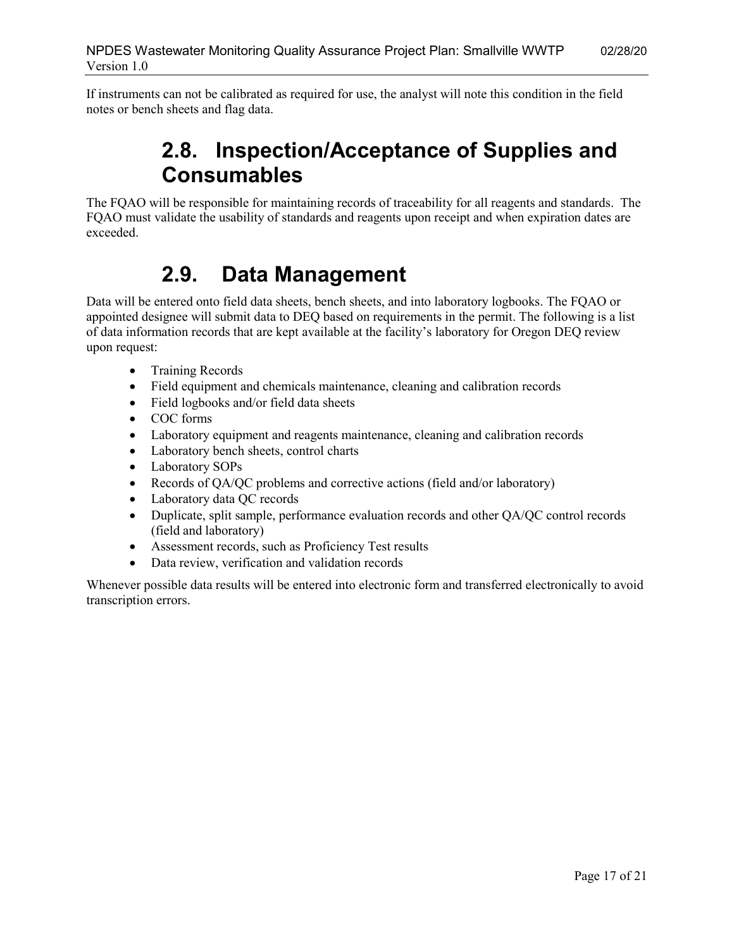<span id="page-16-0"></span>If instruments can not be calibrated as required for use, the analyst will note this condition in the field notes or bench sheets and flag data.

### **2.8. Inspection/Acceptance of Supplies and Consumables**

The FQAO will be responsible for maintaining records of traceability for all reagents and standards. The FQAO must validate the usability of standards and reagents upon receipt and when expiration dates are exceeded.

## <span id="page-16-1"></span>**2.9. Data Management**

Data will be entered onto field data sheets, bench sheets, and into laboratory logbooks. The FQAO or appointed designee will submit data to DEQ based on requirements in the permit. The following is a list of data information records that are kept available at the facility's laboratory for Oregon DEQ review upon request:

- Training Records
- Field equipment and chemicals maintenance, cleaning and calibration records
- Field logbooks and/or field data sheets
- COC forms
- Laboratory equipment and reagents maintenance, cleaning and calibration records
- Laboratory bench sheets, control charts
- Laboratory SOPs
- Records of QA/QC problems and corrective actions (field and/or laboratory)
- Laboratory data QC records
- Duplicate, split sample, performance evaluation records and other QA/QC control records (field and laboratory)
- Assessment records, such as Proficiency Test results
- <span id="page-16-2"></span>• Data review, verification and validation records

Whenever possible data results will be entered into electronic form and transferred electronically to avoid transcription errors.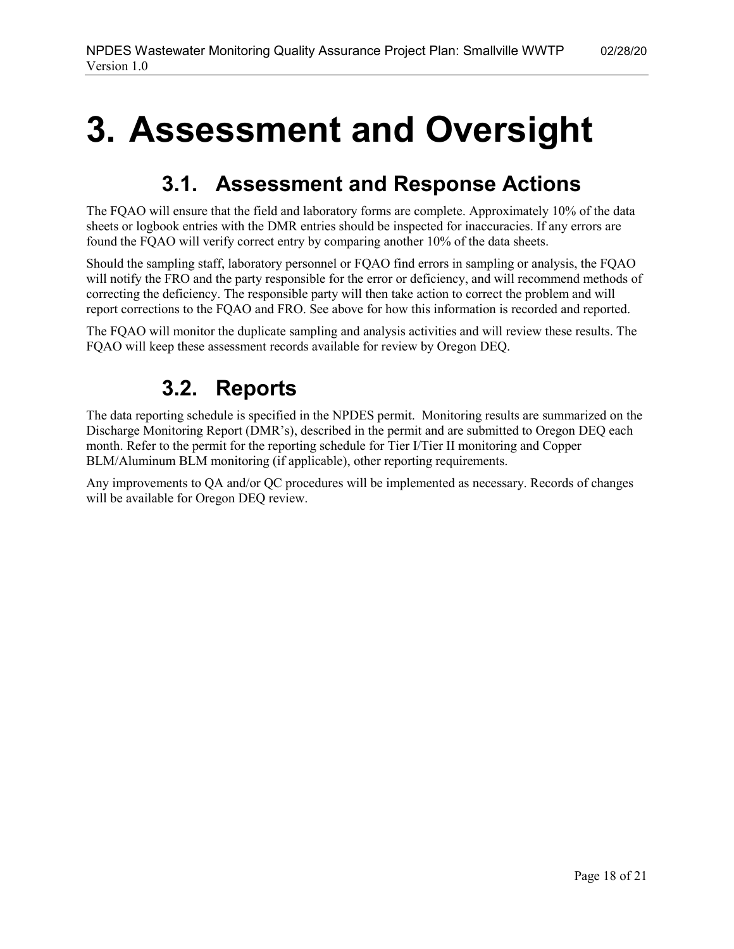# <span id="page-17-0"></span>**3. Assessment and Oversight**

### **3.1. Assessment and Response Actions**

The FQAO will ensure that the field and laboratory forms are complete. Approximately 10% of the data sheets or logbook entries with the DMR entries should be inspected for inaccuracies. If any errors are found the FQAO will verify correct entry by comparing another 10% of the data sheets.

Should the sampling staff, laboratory personnel or FQAO find errors in sampling or analysis, the FQAO will notify the FRO and the party responsible for the error or deficiency, and will recommend methods of correcting the deficiency. The responsible party will then take action to correct the problem and will report corrections to the FQAO and FRO. See above for how this information is recorded and reported.

<span id="page-17-1"></span>The FQAO will monitor the duplicate sampling and analysis activities and will review these results. The FQAO will keep these assessment records available for review by Oregon DEQ.

### **3.2. Reports**

The data reporting schedule is specified in the NPDES permit. Monitoring results are summarized on the Discharge Monitoring Report (DMR's), described in the permit and are submitted to Oregon DEQ each month. Refer to the permit for the reporting schedule for Tier I/Tier II monitoring and Copper BLM/Aluminum BLM monitoring (if applicable), other reporting requirements.

Any improvements to QA and/or QC procedures will be implemented as necessary. Records of changes will be available for Oregon DEQ review.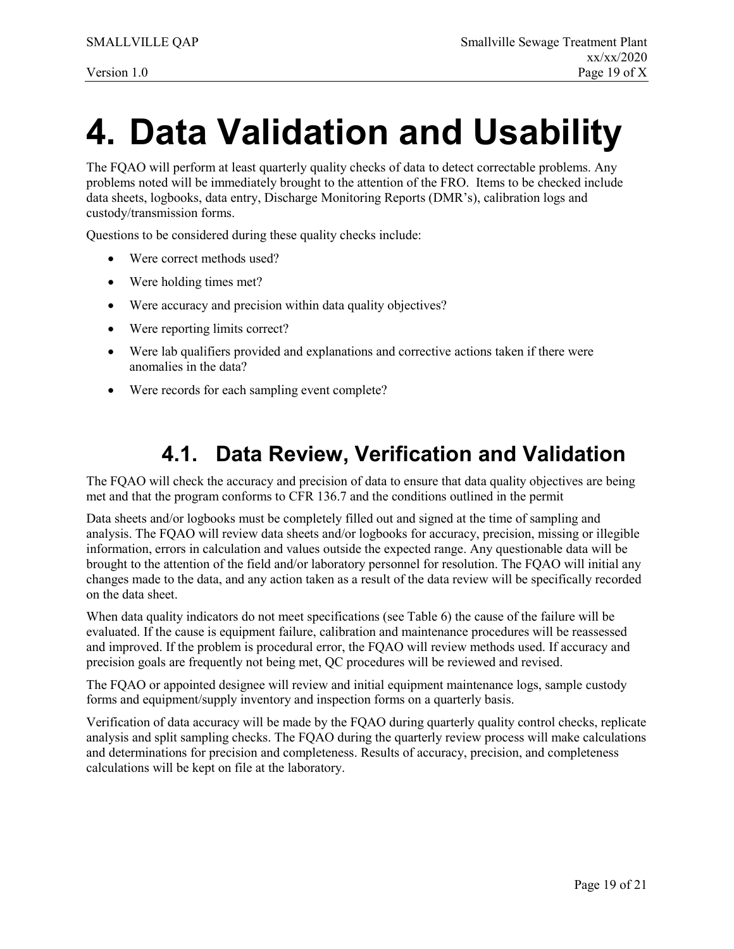# <span id="page-18-0"></span>**4. Data Validation and Usability**

The FQAO will perform at least quarterly quality checks of data to detect correctable problems. Any problems noted will be immediately brought to the attention of the FRO. Items to be checked include data sheets, logbooks, data entry, Discharge Monitoring Reports (DMR's), calibration logs and custody/transmission forms.

Questions to be considered during these quality checks include:

- Were correct methods used?
- Were holding times met?
- Were accuracy and precision within data quality objectives?
- Were reporting limits correct?
- Were lab qualifiers provided and explanations and corrective actions taken if there were anomalies in the data?
- <span id="page-18-1"></span>• Were records for each sampling event complete?

#### **4.1. Data Review, Verification and Validation**

The FQAO will check the accuracy and precision of data to ensure that data quality objectives are being met and that the program conforms to CFR 136.7 and the conditions outlined in the permit

Data sheets and/or logbooks must be completely filled out and signed at the time of sampling and analysis. The FQAO will review data sheets and/or logbooks for accuracy, precision, missing or illegible information, errors in calculation and values outside the expected range. Any questionable data will be brought to the attention of the field and/or laboratory personnel for resolution. The FQAO will initial any changes made to the data, and any action taken as a result of the data review will be specifically recorded on the data sheet.

When data quality indicators do not meet specifications (see Table 6) the cause of the failure will be evaluated. If the cause is equipment failure, calibration and maintenance procedures will be reassessed and improved. If the problem is procedural error, the FQAO will review methods used. If accuracy and precision goals are frequently not being met, QC procedures will be reviewed and revised.

The FQAO or appointed designee will review and initial equipment maintenance logs, sample custody forms and equipment/supply inventory and inspection forms on a quarterly basis.

Verification of data accuracy will be made by the FQAO during quarterly quality control checks, replicate analysis and split sampling checks. The FQAO during the quarterly review process will make calculations and determinations for precision and completeness. Results of accuracy, precision, and completeness calculations will be kept on file at the laboratory.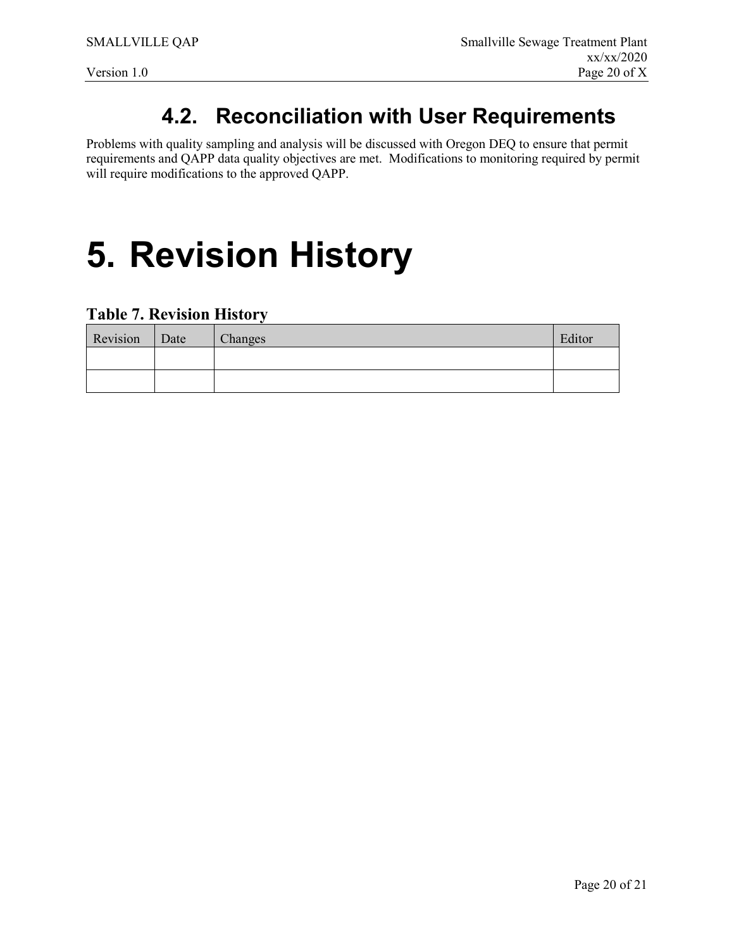## **4.2. Reconciliation with User Requirements**

<span id="page-19-0"></span>Problems with quality sampling and analysis will be discussed with Oregon DEQ to ensure that permit requirements and QAPP data quality objectives are met. Modifications to monitoring required by permit will require modifications to the approved QAPP.

# <span id="page-19-1"></span>**5. Revision History**

#### <span id="page-19-2"></span>**Table 7. Revision History**

| Revision | Date | Changes | Editor |
|----------|------|---------|--------|
|          |      |         |        |
|          |      |         |        |